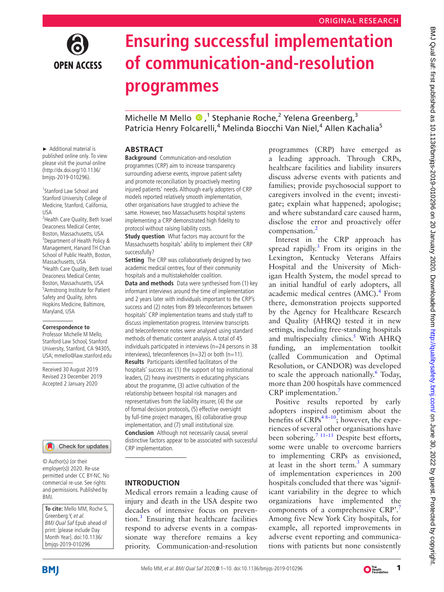

# **Ensuring successful implementation of communication-and-resolution programmes**

MichelleM Mello <sup>1</sup> Stephanie Roche,<sup>2</sup> Yelena Greenberg,<sup>3</sup> Patricia Henry Folcarelli,<sup>4</sup> Melinda Biocchi Van Niel,<sup>4</sup> Allen Kachalia<sup>5</sup>

► Additional material is published online only. To view please visit the journal online (http://dx.doi.org/10.1136/ bmjqs-2019-010296).

<sup>1</sup>Stanford Law School and Stanford University College of Medicine, Stanford, California, USA

<sup>2</sup> Health Care Quality, Beth Israel Deaconess Medical Center, Boston, Massachusetts, USA 3 Department of Health Policy & Management, Harvard TH Chan School of Public Health, Boston, Massachusetts, USA 4 Health Care Quality, Beth Israel Deaconess Medical Center, Boston, Massachusetts, USA 5 Armstrong Institute for Patient Safety and Quality, Johns Hopkins Medicine, Baltimore, Maryland, USA

#### **Correspondence to**

Professor Michelle M Mello, Stanford Law School, Stanford University, Stanford, CA 94305, USA; mmello@law.stanford.edu

Received 30 August 2019 Revised 23 December 2019 Accepted 2 January 2020



© Author(s) (or their employer(s)) 2020. Re-use permitted under CC BY-NC. No commercial re-use. See rights and permissions. Published by BMJ.

**To cite:** Mello MM, Roche S, Greenberg Y, et al. BMJ Qual Saf Epub ahead of print: [please include Day Month Year]. doi:10.1136/ bmjqs-2019-010296

# **Abstract**

**Background** Communication-and-resolution programmes (CRP) aim to increase transparency surrounding adverse events, improve patient safety and promote reconciliation by proactively meeting injured patients' needs. Although early adopters of CRP models reported relatively smooth implementation, other organisations have struggled to achieve the same. However, two Massachusetts hospital systems implementing a CRP demonstrated high fidelity to protocol without raising liability costs.

**Study question** What factors may account for the Massachusetts hospitals' ability to implement their CRP successfully?

**Setting** The CRP was collaboratively designed by two academic medical centres, four of their community hospitals and a multistakeholder coalition.

**Data and methods** Data were synthesised from (1) key informant interviews around the time of implementation and 2 years later with individuals important to the CRP's success and (2) notes from 89 teleconferences between hospitals' CRP implementation teams and study staff to discuss implementation progress. Interview transcripts and teleconference notes were analysed using standard methods of thematic content analysis. A total of 45 individuals participated in interviews (n=24 persons in 38 interviews), teleconferences ( $n=32$ ) or both ( $n=11$ ). **Results** Participants identified facilitators of the hospitals' success as: (1) the support of top institutional leaders, (2) heavy investments in educating physicians about the programme, (3) active cultivation of the relationship between hospital risk managers and representatives from the liability insurer, (4) the use of formal decision protocols, (5) effective oversight by full-time project managers, (6) collaborative group implementation, and (7) small institutional size. **Conclusion** Although not necessarily causal, several distinctive factors appear to be associated with successful CRP implementation.

# **Introduction**

Medical errors remain a leading cause of injury and death in the USA despite two decades of intensive focus on prevention.[1](#page-8-0) Ensuring that healthcare facilities respond to adverse events in a compassionate way therefore remains a key priority. Communication-and-resolution

programmes (CRP) have emerged as a leading approach. Through CRPs, healthcare facilities and liability insurers discuss adverse events with patients and families; provide psychosocial support to caregivers involved in the event; investigate; explain what happened; apologise; and where substandard care caused harm, disclose the error and proactively offer compensation.<sup>[2](#page-8-1)</sup>

Interest in the CRP approach has spread rapidly.<sup>3</sup> From its origins in the Lexington, Kentucky Veterans Affairs Hospital and the University of Michigan Health System, the model spread to an initial handful of early adopters, all academic medical centres (AMC).<sup>[4](#page-8-3)</sup> From there, demonstration projects supported by the Agency for Healthcare Research and Quality (AHRQ) tested it in new settings, including free-standing hospitals and multispecialty clinics.<sup>5</sup> With AHRQ funding, an implementation toolkit (called Communication and Optimal Resolution, or CANDOR) was developed to scale the approach nationally.<sup>[6](#page-8-5)</sup> Today, more than 200 hospitals have commenced CRP implementation.<sup>7</sup>

Positive results reported by early adopters inspired optimism about the benefits of  $CRPs^{4.8-10}$ ; however, the experiences of several other organisations have been sobering.<sup>7 11-13</sup> Despite best efforts, some were unable to overcome barriers to implementing CRPs as envisioned, at least in the short term.<sup>[3](#page-8-2)</sup> A summary of implementation experiences in 200 hospitals concluded that there was 'significant variability in the degree to which organizations have implemented the components of a comprehensive CRP'.<sup>[7](#page-8-6)</sup> Among five New York City hospitals, for example, all reported improvements in adverse event reporting and communications with patients but none consistently

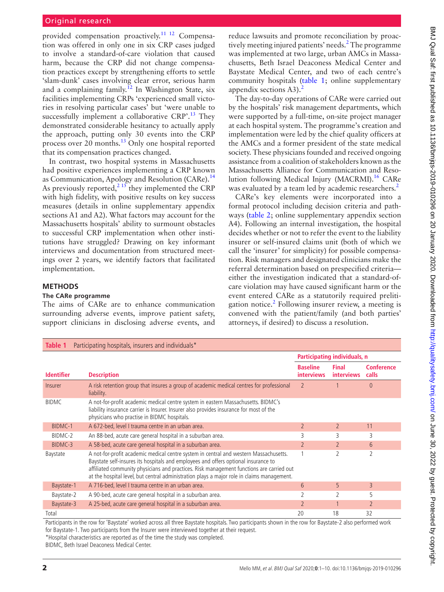# Original research

provided compensation proactively.<sup>[11 12](#page-8-7)</sup> Compensation was offered in only one in six CRP cases judged to involve a standard-of-care violation that caused harm, because the CRP did not change compensation practices except by strengthening efforts to settle 'slam-dunk' cases involving clear error, serious harm and a complaining family.<sup>12</sup> In Washington State, six facilities implementing CRPs 'experienced small victories in resolving particular cases' but 'were unable to successfully implement a collaborative CRP'.<sup>13</sup> They demonstrated considerable hesitancy to actually apply the approach, putting only 30 events into the CRP process over 20 months.[13](#page-8-9) Only one hospital reported that its compensation practices changed.

In contrast, two hospital systems in Massachusetts had positive experiences implementing a CRP known as Communication, Apology and Resolution (CARe).<sup>[14](#page-8-10)</sup> As previously reported, $2^{15}$  they implemented the CRP with high fidelity, with positive results on key success measures (details in [online supplementary appendix](https://dx.doi.org/10.1136/bmjqs-2019-010296)  [sections A1 and A2](https://dx.doi.org/10.1136/bmjqs-2019-010296)). What factors may account for the Massachusetts hospitals' ability to surmount obstacles to successful CRP implementation when other institutions have struggled? Drawing on key informant interviews and documentation from structured meetings over 2 years, we identify factors that facilitated implementation.

## **Methods**

#### **The CARe programme**

The aims of CARe are to enhance communication surrounding adverse events, improve patient safety, support clinicians in disclosing adverse events, and

#### <span id="page-1-0"></span>Participating hospitals, insurers and individuals\*

reduce lawsuits and promote reconciliation by proac-tively meeting injured patients' needs.<sup>[2](#page-8-1)</sup> The programme was implemented at two large, urban AMCs in Massachusetts, Beth Israel Deaconess Medical Center and Baystate Medical Center, and two of each centre's community hospitals [\(table](#page-1-0) 1; [online supplementary](https://dx.doi.org/10.1136/bmjqs-2019-010296) appendix sections  $A3$ ).<sup>2</sup>

The day-to-day operations of CARe were carried out by the hospitals' risk management departments, which were supported by a full-time, on-site project manager at each hospital system. The programme's creation and implementation were led by the chief quality officers at the AMCs and a former president of the state medical society. These physicians founded and received ongoing assistance from a coalition of stakeholders known as the Massachusetts Alliance for Communication and Resolution following Medical Injury (MACRMI).<sup>16</sup> CARe was evaluated by a team led by academic researchers.<sup>[2](#page-8-1)</sup>

CARe's key elements were incorporated into a formal protocol including decision criteria and pathways ([table](#page-2-0) 2; [online supplementary appendix section](https://dx.doi.org/10.1136/bmjqs-2019-010296) [A4\)](https://dx.doi.org/10.1136/bmjqs-2019-010296). Following an internal investigation, the hospital decides whether or not to refer the event to the liability insurer or self-insured claims unit (both of which we call the 'insurer' for simplicity) for possible compensation. Risk managers and designated clinicians make the referral determination based on prespecified criteria either the investigation indicated that a standard-ofcare violation may have caused significant harm or the event entered CARe as a statutorily required preliti-gation notice.<sup>[2](#page-8-1)</sup> Following insurer review, a meeting is convened with the patient/family (and both parties' attorneys, if desired) to discuss a resolution.

|                   |                                                                                                                                                                                                                                                                                                                                                                       | Participating individuals, n         |                                   |                            |
|-------------------|-----------------------------------------------------------------------------------------------------------------------------------------------------------------------------------------------------------------------------------------------------------------------------------------------------------------------------------------------------------------------|--------------------------------------|-----------------------------------|----------------------------|
| <b>Identifier</b> | <b>Description</b>                                                                                                                                                                                                                                                                                                                                                    | <b>Baseline</b><br><b>interviews</b> | <b>Final</b><br><b>interviews</b> | <b>Conference</b><br>calls |
| Insurer           | A risk retention group that insures a group of academic medical centres for professional<br>liability.                                                                                                                                                                                                                                                                | 2                                    |                                   | $\theta$                   |
| <b>BIDMC</b>      | A not-for-profit academic medical centre system in eastern Massachusetts. BIDMC's<br>liability insurance carrier is Insurer. Insurer also provides insurance for most of the<br>physicians who practise in BIDMC hospitals.                                                                                                                                           |                                      |                                   |                            |
| BIDMC-1           | A 672-bed, level I trauma centre in an urban area.                                                                                                                                                                                                                                                                                                                    | $\overline{2}$                       | $\overline{2}$                    | 11                         |
| BIDMC-2           | An 88-bed, acute care general hospital in a suburban area.                                                                                                                                                                                                                                                                                                            | 3                                    | 3                                 | 3                          |
| BIDMC-3           | A 58-bed, acute care general hospital in a suburban area.                                                                                                                                                                                                                                                                                                             | $\overline{2}$                       | $\overline{2}$                    | 6                          |
| Baystate          | A not-for-profit academic medical centre system in central and western Massachusetts.<br>Baystate self-insures its hospitals and employees and offers optional insurance to<br>affiliated community physicians and practices. Risk management functions are carried out<br>at the hospital level, but central administration plays a major role in claims management. |                                      | 2                                 | 2                          |
| Baystate-1        | A 716-bed, level I trauma centre in an urban area.                                                                                                                                                                                                                                                                                                                    | 6                                    | 5                                 | 3                          |
| Baystate-2        | A 90-bed, acute care general hospital in a suburban area.                                                                                                                                                                                                                                                                                                             |                                      | 2                                 | 5                          |
| Baystate-3        | A 25-bed, acute care general hospital in a suburban area.                                                                                                                                                                                                                                                                                                             |                                      |                                   | $\overline{2}$             |
| Total             | provident from a controlled provident and provident and                                                                                                                                                                                                                                                                                                               | 20                                   | 18                                | 32                         |

Participants in the row for 'Baystate' worked across all three Baystate hospitals. Two participants shown in the row for Baystate-2 also performed work for Baystate-1. Two participants from the Insurer were interviewed together at their request.

\*Hospital characteristics are reported as of the time the study was completed.

BIDMC, Beth Israel Deaconess Medical Center.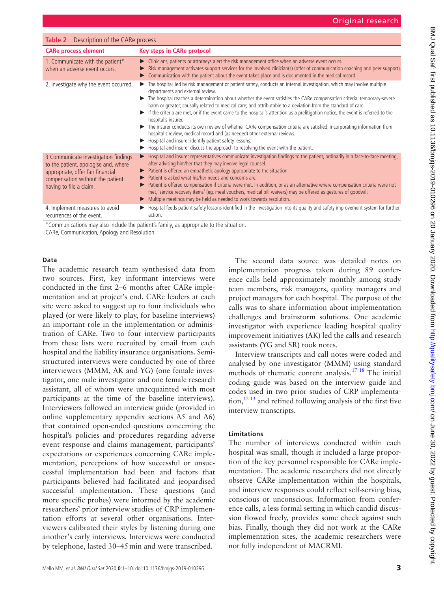<span id="page-2-0"></span>

| Description of the CARe process<br>Table 2                                                                                                                                       |                                                                                                                                                                                                                                                                                                                                                                                                                                                                                                                                                                                                                                                                                                                                                                                                                                                                                                                                          |  |  |  |  |
|----------------------------------------------------------------------------------------------------------------------------------------------------------------------------------|------------------------------------------------------------------------------------------------------------------------------------------------------------------------------------------------------------------------------------------------------------------------------------------------------------------------------------------------------------------------------------------------------------------------------------------------------------------------------------------------------------------------------------------------------------------------------------------------------------------------------------------------------------------------------------------------------------------------------------------------------------------------------------------------------------------------------------------------------------------------------------------------------------------------------------------|--|--|--|--|
| <b>CARe process element</b>                                                                                                                                                      | <b>Key steps in CARe protocol</b>                                                                                                                                                                                                                                                                                                                                                                                                                                                                                                                                                                                                                                                                                                                                                                                                                                                                                                        |  |  |  |  |
| 1. Communicate with the patient*<br>when an adverse event occurs.                                                                                                                | Clinicians, patients or attorneys alert the risk management office when an adverse event occurs.<br>▶<br>Risk management activates support services for the involved clinician(s) (offer of communication coaching and peer support).<br>Communication with the patient about the event takes place and is documented in the medical record.                                                                                                                                                                                                                                                                                                                                                                                                                                                                                                                                                                                             |  |  |  |  |
| 2. Investigate why the event occurred.                                                                                                                                           | The hospital, led by risk management or patient safety, conducts an internal investigation, which may involve multiple<br>▶<br>departments and external review.<br>The hospital reaches a determination about whether the event satisfies the CARe compensation criteria: temporary-severe<br>▶<br>harm or greater; causally related to medical care; and attributable to a deviation from the standard of care.<br>If the criteria are met, or if the event came to the hospital's attention as a prelitigation notice, the event is referred to the<br>▶<br>hospital's insurer.<br>The insurer conducts its own review of whether CARe compensation criteria are satisfied, incorporating information from<br>hospital's review, medical record and (as needed) other external reviews.<br>Hospital and insurer identify patient safety lessons.<br>Hospital and insurer discuss the approach to resolving the event with the patient. |  |  |  |  |
| 3 Communicate investigation findings<br>to the patient, apologise and, where<br>appropriate, offer fair financial<br>compensation without the patient<br>having to file a claim. | Hospital and insurer representatives communicate investigation findings to the patient, ordinarily in a face-to-face meeting,<br>▶<br>after advising him/her that they may involve legal counsel.<br>Patient is offered an empathetic apology appropriate to the situation.<br>Patient is asked what his/her needs and concerns are.<br>Patient is offered compensation if criteria were met. In addition, or as an alternative where compensation criteria were not<br>▶<br>met, 'service recovery items' (eq, meal vouchers, medical bill waivers) may be offered as gestures of goodwill.<br>Multiple meetings may be held as needed to work towards resolution.<br>▶                                                                                                                                                                                                                                                                 |  |  |  |  |
| 4. Implement measures to avoid<br>recurrences of the event.                                                                                                                      | Hospital feeds patient safety lessons identified in the investigation into its quality and safety improvement system for further<br>action.                                                                                                                                                                                                                                                                                                                                                                                                                                                                                                                                                                                                                                                                                                                                                                                              |  |  |  |  |
| CARe. Communication. Apology and Resolution.                                                                                                                                     | *Communications may also include the patient's family, as appropriate to the situation.                                                                                                                                                                                                                                                                                                                                                                                                                                                                                                                                                                                                                                                                                                                                                                                                                                                  |  |  |  |  |

**Data**

The academic research team synthesised data from two sources. First, key informant interviews were conducted in the first 2–6 months after CARe implementation and at project's end. CARe leaders at each site were asked to suggest up to four individuals who played (or were likely to play, for baseline interviews) an important role in the implementation or administration of CARe. Two to four interview participants from these lists were recruited by email from each hospital and the liability insurance organisations. Semistructured interviews were conducted by one of three interviewers (MMM, AK and YG) (one female investigator, one male investigator and one female research assistant, all of whom were unacquainted with most participants at the time of the baseline interviews). Interviewers followed an interview guide (provided in [online supplementary appendix sections A5 and A6](https://dx.doi.org/10.1136/bmjqs-2019-010296)) that contained open-ended questions concerning the hospital's policies and procedures regarding adverse event response and claims management, participants' expectations or experiences concerning CARe implementation, perceptions of how successful or unsuccessful implementation had been and factors that participants believed had facilitated and jeopardised successful implementation. These questions (and more specific probes) were informed by the academic researchers' prior interview studies of CRP implementation efforts at several other organisations. Interviewers calibrated their styles by listening during one another's early interviews. Interviews were conducted by telephone, lasted 30–45min and were transcribed.

The second data source was detailed notes on implementation progress taken during 89 conference calls held approximately monthly among study team members, risk managers, quality managers and project managers for each hospital. The purpose of the calls was to share information about implementation challenges and brainstorm solutions. One academic investigator with experience leading hospital quality improvement initiatives (AK) led the calls and research assistants (YG and SR) took notes.

Interview transcripts and call notes were coded and analysed by one investigator (MMM) using standard methods of thematic content analysis.<sup>17 18</sup> The initial coding guide was based on the interview guide and codes used in two prior studies of CRP implementa- $\frac{12 \times 13}{12}$  and refined following analysis of the first five interview transcripts.

## **Limitations**

The number of interviews conducted within each hospital was small, though it included a large proportion of the key personnel responsible for CARe implementation. The academic researchers did not directly observe CARe implementation within the hospitals, and interview responses could reflect self-serving bias, conscious or unconscious. Information from conference calls, a less formal setting in which candid discussion flowed freely, provides some check against such bias. Finally, though they did not work at the CARe implementation sites, the academic researchers were not fully independent of MACRMI.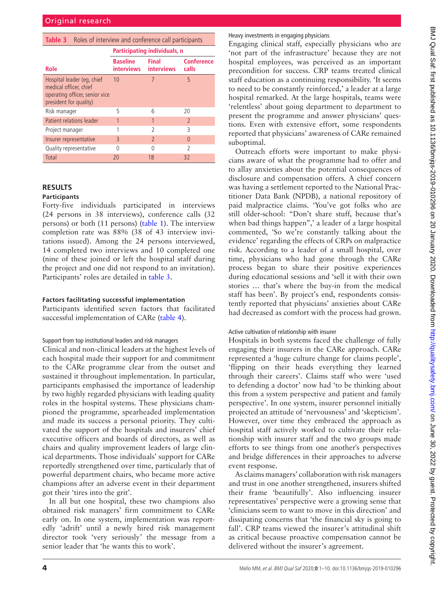<span id="page-3-0"></span>

| <b>Table 3</b> Roles of interview and conference call participants                                               |                              |                                       |                            |
|------------------------------------------------------------------------------------------------------------------|------------------------------|---------------------------------------|----------------------------|
|                                                                                                                  | Participating individuals, n |                                       |                            |
| Role                                                                                                             | <b>Baseline</b>              | <b>Final</b><br>interviews interviews | <b>Conference</b><br>calls |
| Hospital leader (eg, chief<br>medical officer, chief<br>operating officer, senior vice<br>president for quality) | 10                           | 7                                     | 5                          |
| Risk manager                                                                                                     | 5                            | հ                                     | 20                         |
| Patient relations leader                                                                                         | 1                            | 1                                     | $\overline{\phantom{0}}$   |
| Project manager                                                                                                  |                              | 2                                     | 3                          |
| Insurer representative                                                                                           | 3                            | $\overline{\phantom{0}}$              | $\left( \right)$           |
| Quality representative                                                                                           | $\Omega$                     | Ω                                     | $\mathcal{I}$              |
| Total                                                                                                            | 20                           | 18                                    | 32                         |

# **Results**

# **Participants**

Forty-five individuals participated in interviews (24 persons in 38 interviews), conference calls (32 persons) or both (11 persons) ([table](#page-1-0) 1). The interview completion rate was 88% (38 of 43 interview invitations issued). Among the 24 persons interviewed, 14 completed two interviews and 10 completed one (nine of these joined or left the hospital staff during the project and one did not respond to an invitation). Participants' roles are detailed in [table](#page-3-0) 3.

# **Factors facilitating successful implementation**

Participants identified seven factors that facilitated successful implementation of CARe ([table](#page-4-0) 4).

Support from top institutional leaders and risk managers

Clinical and non-clinical leaders at the highest levels of each hospital made their support for and commitment to the CARe programme clear from the outset and sustained it throughout implementation. In particular, participants emphasised the importance of leadership by two highly regarded physicians with leading quality roles in the hospital systems. These physicians championed the programme, spearheaded implementation and made its success a personal priority. They cultivated the support of the hospitals and insurers' chief executive officers and boards of directors, as well as chairs and quality improvement leaders of large clinical departments. Those individuals' support for CARe reportedly strengthened over time, particularly that of powerful department chairs, who became more active champions after an adverse event in their department got their 'tires into the grit'.

In all but one hospital, these two champions also obtained risk managers' firm commitment to CARe early on. In one system, implementation was reportedly 'adrift' until a newly hired risk management director took 'very seriously' the message from a senior leader that 'he wants this to work'.

Heavy investments in engaging physicians

Engaging clinical staff, especially physicians who are 'not part of the infrastructure' because they are not hospital employees, was perceived as an important precondition for success. CRP teams treated clinical staff education as a continuing responsibility. 'It seems to need to be constantly reinforced,' a leader at a large hospital remarked. At the large hospitals, teams were 'relentless' about going department to department to present the programme and answer physicians' questions. Even with extensive effort, some respondents reported that physicians' awareness of CARe remained suboptimal.

Outreach efforts were important to make physicians aware of what the programme had to offer and to allay anxieties about the potential consequences of disclosure and compensation offers. A chief concern was having a settlement reported to the National Practitioner Data Bank (NPDB), a national repository of paid malpractice claims. 'You've got folks who are still older-school: "Don't share stuff, because that's when bad things happen",' a leader of a large hospital commented, 'So we're constantly talking about the evidence' regarding the effects of CRPs on malpractice risk. According to a leader of a small hospital, over time, physicians who had gone through the CARe process began to share their positive experiences during educational sessions and 'sell it with their own stories … that's where the buy-in from the medical staff has been'. By project's end, respondents consistently reported that physicians' anxieties about CARe had decreased as comfort with the process had grown.

# Active cultivation of relationship with insurer

Hospitals in both systems faced the challenge of fully engaging their insurers in the CARe approach. CARe represented a 'huge culture change for claims people', 'flipping on their heads everything they learned through their careers'. Claims staff who were 'used to defending a doctor' now had 'to be thinking about this from a system perspective and patient and family perspective'. In one system, insurer personnel initially projected an attitude of 'nervousness' and 'skepticism'. However, over time they embraced the approach as hospital staff actively worked to cultivate their relationship with insurer staff and the two groups made efforts to see things from one another's perspectives and bridge differences in their approaches to adverse event response.

As claims managers' collaboration with risk managers and trust in one another strengthened, insurers shifted their frame 'beautifully'. Also influencing insurer representatives' perspective were a growing sense that 'clinicians seem to want to move in this direction' and dissipating concerns that 'the financial sky is going to fall'. CRP teams viewed the insurer's attitudinal shift as critical because proactive compensation cannot be delivered without the insurer's agreement.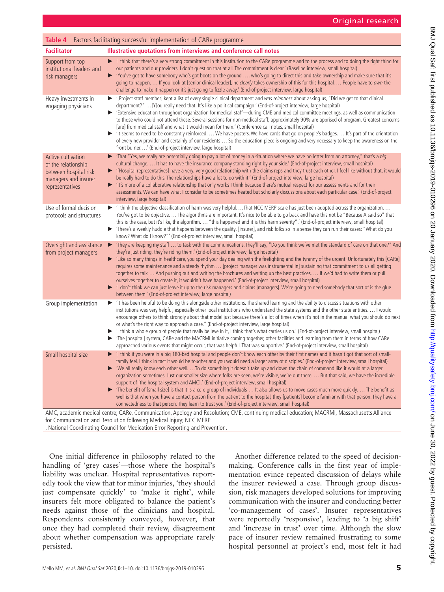<span id="page-4-0"></span>

| Table 4<br>Factors facilitating successful implementation of CARe programme                                          |                                                                                                                                                                                                                                                                                                                                                                                                                                                                                                                                                                                                                                                                                                                                                                                                                                                                                                                                                                                                                                                                              |  |  |  |
|----------------------------------------------------------------------------------------------------------------------|------------------------------------------------------------------------------------------------------------------------------------------------------------------------------------------------------------------------------------------------------------------------------------------------------------------------------------------------------------------------------------------------------------------------------------------------------------------------------------------------------------------------------------------------------------------------------------------------------------------------------------------------------------------------------------------------------------------------------------------------------------------------------------------------------------------------------------------------------------------------------------------------------------------------------------------------------------------------------------------------------------------------------------------------------------------------------|--|--|--|
| <b>Facilitator</b>                                                                                                   | Illustrative quotations from interviews and conference call notes                                                                                                                                                                                                                                                                                                                                                                                                                                                                                                                                                                                                                                                                                                                                                                                                                                                                                                                                                                                                            |  |  |  |
| Support from top<br>institutional leaders and<br>risk managers                                                       | If think that there's a very strong commitment in this institution to the CARe programme and to the process and to doing the right thing for<br>our patients and our providers. I don't question that at all. The commitment is clear.' (Baseline interview, small hospital)<br>► 'You've got to have somebody who's got boots on the ground  who's going to direct this and take ownership and make sure that it's<br>going to happen.  If you look at [senior clinical leader], he clearly takes ownership of this for this hospital.  People have to own the<br>challenge to make it happen or it's just going to fizzle away.' (End-of-project interview, large hospital)                                                                                                                                                                                                                                                                                                                                                                                                |  |  |  |
| Heavy investments in<br>engaging physicians                                                                          | '[Project staff member] kept a list of every single clinical department and was relentless about asking us, "Did we get to that clinical<br>department?"  [Y] ou really need that. It's like a political campaign.' (End-of-project interview, large hospital)<br>'Extensive education throughout organization for medical staff—during CME and medical committee meetings, as well as communication<br>▶<br>to those who could not attend these. Several sessions for non-medical staff; approximately 90% are apprised of program. Greatest concerns<br>[are] from medical staff and what it would mean for them.' (Conference call notes, small hospital)<br>It seems to need to be constantly reinforced.  We have posters. We have cards that go on people's badges.  It's part of the orientation<br>▶<br>of every new provider and certainly of our residents  So the education piece is ongoing and very necessary to keep the awareness on the<br>front burner' (End-of-project interview, large hospital)                                                          |  |  |  |
| <b>Active cultivation</b><br>of the relationship<br>between hospital risk<br>managers and insurer<br>representatives | That "Yes, we really are potentially going to pay a lot of money in a situation where we have no letter from an attorney," that's a big<br>cultural change It has to have the insurance company standing right by your side.' (End-of-project interview, small hospital)<br>• '[Hospital representatives] have a very, very good relationship with the claims reps and they trust each other. I feel like without that, it would<br>be really hard to do this. The relationships have a lot to do with it.' (End-of-project interview, large hospital)<br>It's more of a collaborative relationship that only works I think because there's mutual respect for our assessments and for their<br>assessments. We can have what I consider to be sometimes heated but scholarly discussions about each particular case.' (End-of-project<br>interview, large hospital)                                                                                                                                                                                                         |  |  |  |
| Use of formal decision<br>protocols and structures                                                                   | $\blacktriangleright$ 'I think the objective classification of harm was very helpfulThat NCC MERP scale has just been adopted across the organization<br>You've got to be objective.  The algorithms are important. It's nice to be able to go back and have this not be "Because A said so" that<br>this is the case, but it's like, the algorithm.  "this happened and it is this harm severity".' (End-of-project interview, small hospital)<br>There's a weekly huddle that happens between the quality, [insurer], and risk folks so in a sense they can run their cases: "What do you<br>▶<br>know? What do I know?"' (End-of-project interview, small hospital)                                                                                                                                                                                                                                                                                                                                                                                                       |  |  |  |
| Oversight and assistance<br>from project managers                                                                    | ► 'They are keeping my staff  to task with the communications. They'll say, "Do you think we've met the standard of care on that one?" And<br>they're just riding, they're riding them.' (End-of-project interview, large hospital)<br>'Like so many things in healthcare, you spend your day dealing with the firefighting and the tyranny of the urgent. Unfortunately this [CARe]<br>requires some maintenance and a steady rhythm  [project manager was instrumental in] sustaining that commitment to us all getting<br>together to talk  And pushing out and writing the brochures and writing up the best practices.  If we'd had to write them or pull<br>ourselves together to create it, it wouldn't have happened.' (End-of-project interview, small hospital)<br>I don't think we can just leave it up to the risk managers and claims [managers]. We're going to need somebody that sort of is the glue<br>▶<br>between them.' (End-of-project interview, large hospital)                                                                                       |  |  |  |
| Group implementation                                                                                                 | It has been helpful to be doing this alongside other institutions. The shared learning and the ability to discuss situations with other<br>institutions was very helpful, especially other local institutions who understand the state systems and the other state entities.  I would<br>encourage others to think strongly about that model just because there's a lot of times when it's not in the manual what you should do next<br>or what's the right way to approach a case." (End-of-project interview, large hospital)<br>If think a whole group of people that really believe in it, I think that's what carries us on.' (End-of-project interview, small hospital)<br>'The [hospital] system, CARe and the MACRMI initiative coming together, other facilities and learning from them in terms of how CARe<br>approached various events that might occur, that was helpful. That was supportive.' (End-of-project interview, small hospital)                                                                                                                      |  |  |  |
| Small hospital size                                                                                                  | If think if you were in a big 180-bed hospital and people don't know each other by their first names and it hasn't got that sort of small-<br>family feel, I think in fact it would be tougher and you would need a larger army of disciples.' (End-of-project interview, small hospital)<br>► 'We all really know each other well. To do something it doesn't take up and down the chain of command like it would at a larger<br>organization sometimes. Just our smaller size where folks are seen, we're visible, we're out there.  But that said, we have the incredible<br>support of [the hospital system and AMC].' (End-of-project interview, small hospital)<br>The benefit of [small size] is that it is a core group of individuals  It also allows us to move cases much more quickly.  The benefit as<br>▶<br>well is that when you have a contact person from the patient to the hospital, they [patients] become familiar with that person. They have a<br>connectedness to that person. They learn to trust you.' (End-of-project interview, small hospital) |  |  |  |

AMC, academic medical centre; CARe, Communication, Apology and Resolution; CME, continuing medical education; MACRMI, Massachusetts Alliance for Communication and Resolution following Medical Injury; NCC MERP

, National Coordinating Council for Medication Error Reporting and Prevention.

One initial difference in philosophy related to the handling of 'grey cases'—those where the hospital's liability was unclear. Hospital representatives reportedly took the view that for minor injuries, 'they should just compensate quickly' to 'make it right', while insurers felt more obligated to balance the patient's needs against those of the clinicians and hospital. Respondents consistently conveyed, however, that once they had completed their review, disagreement about whether compensation was appropriate rarely persisted.

Another difference related to the speed of decisionmaking. Conference calls in the first year of implementation evince repeated discussion of delays while the insurer reviewed a case. Through group discussion, risk managers developed solutions for improving communication with the insurer and conducting better 'co-management of cases'. Insurer representatives were reportedly 'responsive', leading to 'a big shift' and 'increase in trust' over time. Although the slow pace of insurer review remained frustrating to some hospital personnel at project's end, most felt it had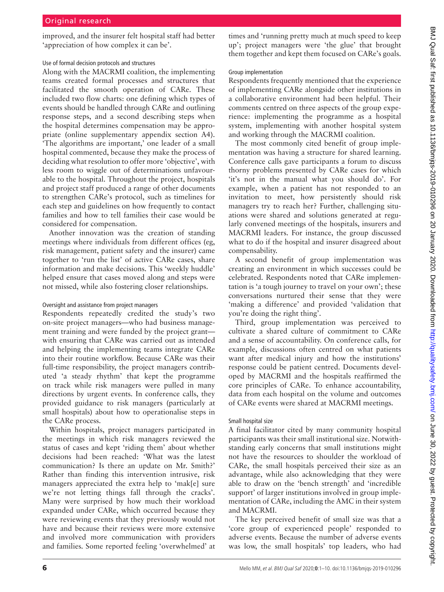improved, and the insurer felt hospital staff had better 'appreciation of how complex it can be'.

#### Use of formal decision protocols and structures

Along with the MACRMI coalition, the implementing teams created formal processes and structures that facilitated the smooth operation of CARe. These included two flow charts: one defining which types of events should be handled through CARe and outlining response steps, and a second describing steps when the hospital determines compensation may be appropriate [\(online supplementary appendix section A4\)](https://dx.doi.org/10.1136/bmjqs-2019-010296). 'The algorithms are important,' one leader of a small hospital commented, because they make the process of deciding what resolution to offer more 'objective', with less room to wiggle out of determinations unfavourable to the hospital. Throughout the project, hospitals and project staff produced a range of other documents to strengthen CARe's protocol, such as timelines for each step and guidelines on how frequently to contact families and how to tell families their case would be considered for compensation.

Another innovation was the creation of standing meetings where individuals from different offices (eg, risk management, patient safety and the insurer) came together to 'run the list' of active CARe cases, share information and make decisions. This 'weekly huddle' helped ensure that cases moved along and steps were not missed, while also fostering closer relationships.

## Oversight and assistance from project managers

Respondents repeatedly credited the study's two on-site project managers—who had business management training and were funded by the project grant with ensuring that CARe was carried out as intended and helping the implementing teams integrate CARe into their routine workflow. Because CARe was their full-time responsibility, the project managers contributed 'a steady rhythm' that kept the programme on track while risk managers were pulled in many directions by urgent events. In conference calls, they provided guidance to risk managers (particularly at small hospitals) about how to operationalise steps in the CARe process.

Within hospitals, project managers participated in the meetings in which risk managers reviewed the status of cases and kept 'riding them' about whether decisions had been reached: 'What was the latest communication? Is there an update on Mr. Smith?' Rather than finding this intervention intrusive, risk managers appreciated the extra help to 'mak[e] sure we're not letting things fall through the cracks'. Many were surprised by how much their workload expanded under CARe, which occurred because they were reviewing events that they previously would not have and because their reviews were more extensive and involved more communication with providers and families. Some reported feeling 'overwhelmed' at

times and 'running pretty much at much speed to keep up'; project managers were 'the glue' that brought them together and kept them focused on CARe's goals.

#### Group implementation

Respondents frequently mentioned that the experience of implementing CARe alongside other institutions in a collaborative environment had been helpful. Their comments centred on three aspects of the group experience: implementing the programme as a hospital system, implementing with another hospital system and working through the MACRMI coalition.

The most commonly cited benefit of group implementation was having a structure for shared learning. Conference calls gave participants a forum to discuss thorny problems presented by CARe cases for which 'it's not in the manual what you should do'. For example, when a patient has not responded to an invitation to meet, how persistently should risk managers try to reach her? Further, challenging situations were shared and solutions generated at regularly convened meetings of the hospitals, insurers and MACRMI leaders. For instance, the group discussed what to do if the hospital and insurer disagreed about compensability.

A second benefit of group implementation was creating an environment in which successes could be celebrated. Respondents noted that CARe implementation is 'a tough journey to travel on your own'; these conversations nurtured their sense that they were 'making a difference' and provided 'validation that you're doing the right thing'.

Third, group implementation was perceived to cultivate a shared culture of commitment to CARe and a sense of accountability. On conference calls, for example, discussions often centred on what patients want after medical injury and how the institutions' response could be patient centred. Documents developed by MACRMI and the hospitals reaffirmed the core principles of CARe. To enhance accountability, data from each hospital on the volume and outcomes of CARe events were shared at MACRMI meetings.

# Small hospital size

A final facilitator cited by many community hospital participants was their small institutional size. Notwithstanding early concerns that small institutions might not have the resources to shoulder the workload of CARe, the small hospitals perceived their size as an advantage, while also acknowledging that they were able to draw on the 'bench strength' and 'incredible support' of larger institutions involved in group implementation of CARe, including the AMC in their system and MACRMI.

The key perceived benefit of small size was that a 'core group of experienced people' responded to adverse events. Because the number of adverse events was low, the small hospitals' top leaders, who had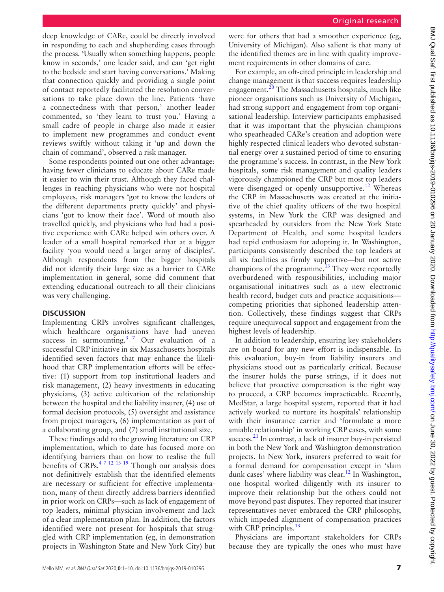deep knowledge of CARe, could be directly involved in responding to each and shepherding cases through the process. 'Usually when something happens, people know in seconds,' one leader said, and can 'get right to the bedside and start having conversations.' Making that connection quickly and providing a single point of contact reportedly facilitated the resolution conversations to take place down the line. Patients 'have a connectedness with that person,' another leader commented, so 'they learn to trust you.' Having a small cadre of people in charge also made it easier to implement new programmes and conduct event reviews swiftly without taking it 'up and down the chain of command', observed a risk manager.

Some respondents pointed out one other advantage: having fewer clinicians to educate about CARe made it easier to win their trust. Although they faced challenges in reaching physicians who were not hospital employees, risk managers 'got to know the leaders of the different departments pretty quickly' and physicians 'got to know their face'. Word of mouth also travelled quickly, and physicians who had had a positive experience with CARe helped win others over. A leader of a small hospital remarked that at a bigger facility 'you would need a larger army of disciples'. Although respondents from the bigger hospitals did not identify their large size as a barrier to CARe implementation in general, some did comment that extending educational outreach to all their clinicians was very challenging.

# **Discussion**

Implementing CRPs involves significant challenges, which healthcare organisations have had uneven success in surmounting. $3 \times 7$  Our evaluation of a successful CRP initiative in six Massachusetts hospitals identified seven factors that may enhance the likelihood that CRP implementation efforts will be effective: (1) support from top institutional leaders and risk management, (2) heavy investments in educating physicians, (3) active cultivation of the relationship between the hospital and the liability insurer, (4) use of formal decision protocols, (5) oversight and assistance from project managers, (6) implementation as part of a collaborating group, and (7) small institutional size.

These findings add to the growing literature on CRP implementation, which to date has focused more on identifying barriers than on how to realise the full benefits of CRPs. $47 12 13 19$  Though our analysis does not definitively establish that the identified elements are necessary or sufficient for effective implementation, many of them directly address barriers identified in prior work on CRPs—such as lack of engagement of top leaders, minimal physician involvement and lack of a clear implementation plan. In addition, the factors identified were not present for hospitals that struggled with CRP implementation (eg, in demonstration projects in Washington State and New York City) but were for others that had a smoother experience (eg, University of Michigan). Also salient is that many of the identified themes are in line with quality improvement requirements in other domains of care.

For example, an oft-cited principle in leadership and change management is that success requires leadership engagement.<sup>20</sup> The Massachusetts hospitals, much like pioneer organisations such as University of Michigan, had strong support and engagement from top organisational leadership. Interview participants emphasised that it was important that the physician champions who spearheaded CARe's creation and adoption were highly respected clinical leaders who devoted substantial energy over a sustained period of time to ensuring the programme's success. In contrast, in the New York hospitals, some risk management and quality leaders vigorously championed the CRP but most top leaders were disengaged or openly unsupportive.<sup>12</sup> Whereas the CRP in Massachusetts was created at the initiative of the chief quality officers of the two hospital systems, in New York the CRP was designed and spearheaded by outsiders from the New York State Department of Health, and some hospital leaders had tepid enthusiasm for adopting it. In Washington, participants consistently described the top leaders at all six facilities as firmly supportive—but not active champions of the programme. $^{13}$  $^{13}$  $^{13}$  They were reportedly overburdened with responsibilities, including major organisational initiatives such as a new electronic health record, budget cuts and practice acquisitions competing priorities that siphoned leadership attention. Collectively, these findings suggest that CRPs require unequivocal support and engagement from the highest levels of leadership.

In addition to leadership, ensuring key stakeholders are on board for any new effort is indispensable. In this evaluation, buy-in from liability insurers and physicians stood out as particularly critical. Because the insurer holds the purse strings, if it does not believe that proactive compensation is the right way to proceed, a CRP becomes impracticable. Recently, MedStar, a large hospital system, reported that it had actively worked to nurture its hospitals' relationship with their insurance carrier and 'formulate a more amiable relationship' in working CRP cases, with some success.<sup>21</sup> In contrast, a lack of insurer buy-in persisted in both the New York and Washington demonstration projects. In New York, insurers preferred to wait for a formal demand for compensation except in 'slam dunk cases' where liability was clear.<sup>12</sup> In Washington, one hospital worked diligently with its insurer to improve their relationship but the others could not move beyond past disputes. They reported that insurer representatives never embraced the CRP philosophy, which impeded alignment of compensation practices with CRP principles.<sup>[13](#page-8-9)</sup>

Physicians are important stakeholders for CRPs because they are typically the ones who must have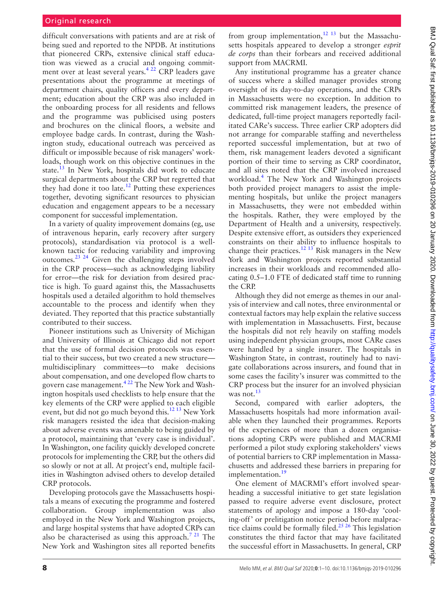difficult conversations with patients and are at risk of being sued and reported to the NPDB. At institutions that pioneered CRPs, extensive clinical staff education was viewed as a crucial and ongoing commit-ment over at least several years.<sup>[4 22](#page-8-3)</sup> CRP leaders gave presentations about the programme at meetings of department chairs, quality officers and every department; education about the CRP was also included in the onboarding process for all residents and fellows and the programme was publicised using posters and brochures on the clinical floors, a website and employee badge cards. In contrast, during the Washington study, educational outreach was perceived as difficult or impossible because of risk managers' workloads, though work on this objective continues in the state.<sup>13</sup> In New York, hospitals did work to educate surgical departments about the CRP but regretted that they had done it too late.<sup>12</sup> Putting these experiences together, devoting significant resources to physician education and engagement appears to be a necessary component for successful implementation.

In a variety of quality improvement domains (eg, use of intravenous heparin, early recovery after surgery protocols), standardisation via protocol is a wellknown tactic for reducing variability and improving outcomes.[23 24](#page-9-2) Given the challenging steps involved in the CRP process—such as acknowledging liability for error—the risk for deviation from desired practice is high. To guard against this, the Massachusetts hospitals used a detailed algorithm to hold themselves accountable to the process and identify when they deviated. They reported that this practice substantially contributed to their success.

Pioneer institutions such as University of Michigan and University of Illinois at Chicago did not report that the use of formal decision protocols was essential to their success, but two created a new structure multidisciplinary committees—to make decisions about compensation, and one developed flow charts to govern case management.[4 22](#page-8-3) The New York and Washington hospitals used checklists to help ensure that the key elements of the CRP were applied to each eligible event, but did not go much beyond this[.12 13](#page-8-8) New York risk managers resisted the idea that decision-making about adverse events was amenable to being guided by a protocol, maintaining that 'every case is individual'. In Washington, one facility quickly developed concrete protocols for implementing the CRP, but the others did so slowly or not at all. At project's end, multiple facilities in Washington advised others to develop detailed CRP protocols.

Developing protocols gave the Massachusetts hospitals a means of executing the programme and fostered collaboration. Group implementation was also employed in the New York and Washington projects, and large hospital systems that have adopted CRPs can also be characterised as using this approach.<sup>7 21</sup> The New York and Washington sites all reported benefits

from group implementation,<sup>12 13</sup> but the Massachusetts hospitals appeared to develop a stronger *esprit de corps* than their forbears and received additional support from MACRMI.

Any institutional programme has a greater chance of success where a skilled manager provides strong oversight of its day-to-day operations, and the CRPs in Massachusetts were no exception. In addition to committed risk management leaders, the presence of dedicated, full-time project managers reportedly facilitated CARe's success. Three earlier CRP adopters did not arrange for comparable staffing and nevertheless reported successful implementation, but at two of them, risk management leaders devoted a significant portion of their time to serving as CRP coordinator, and all sites noted that the CRP involved increased workload.[4](#page-8-3) The New York and Washington projects both provided project managers to assist the implementing hospitals, but unlike the project managers in Massachusetts, they were not embedded within the hospitals. Rather, they were employed by the Department of Health and a university, respectively. Despite extensive effort, as outsiders they experienced constraints on their ability to influence hospitals to change their practices.<sup>12 13</sup> Risk managers in the New York and Washington projects reported substantial increases in their workloads and recommended allocating 0.5–1.0 FTE of dedicated staff time to running the CRP.

Although they did not emerge as themes in our analysis of interview and call notes, three environmental or contextual factors may help explain the relative success with implementation in Massachusetts. First, because the hospitals did not rely heavily on staffing models using independent physician groups, most CARe cases were handled by a single insurer. The hospitals in Washington State, in contrast, routinely had to navigate collaborations across insurers, and found that in some cases the facility's insurer was committed to the CRP process but the insurer for an involved physician was not. $^{13}$  $^{13}$  $^{13}$ 

Second, compared with earlier adopters, the Massachusetts hospitals had more information available when they launched their programmes. Reports of the experiences of more than a dozen organisations adopting CRPs were published and MACRMI performed a pilot study exploring stakeholders' views of potential barriers to CRP implementation in Massachusetts and addressed these barriers in preparing for implementation.<sup>[19](#page-9-3)</sup>

One element of MACRMI's effort involved spearheading a successful initiative to get state legislation passed to require adverse event disclosure, protect statements of apology and impose a 180-day 'cooling-off' or prelitigation notice period before malpractice claims could be formally filed.<sup>25 26</sup> This legislation constitutes the third factor that may have facilitated the successful effort in Massachusetts. In general, CRP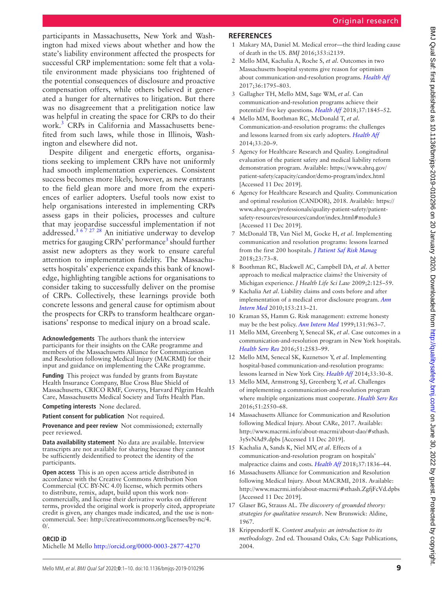participants in Massachusetts, New York and Washington had mixed views about whether and how the state's liability environment affected the prospects for successful CRP implementation: some felt that a volatile environment made physicians too frightened of the potential consequences of disclosure and proactive compensation offers, while others believed it generated a hunger for alternatives to litigation. But there was no disagreement that a prelitigation notice law was helpful in creating the space for CRPs to do their work.<sup>[3](#page-8-2)</sup> CRPs in California and Massachusetts benefited from such laws, while those in Illinois, Washington and elsewhere did not.

Despite diligent and energetic efforts, organisations seeking to implement CRPs have not uniformly had smooth implementation experiences. Consistent success becomes more likely, however, as new entrants to the field glean more and more from the experiences of earlier adopters. Useful tools now exist to help organisations interested in implementing CRPs assess gaps in their policies, processes and culture that may jeopardise successful implementation if not addressed.<sup>3 6 7 27 28</sup> An initiative underway to develop metrics for gauging CRPs' performance<sup>[3](#page-8-2)</sup> should further assist new adopters as they work to ensure careful attention to implementation fidelity. The Massachusetts hospitals' experience expands this bank of knowledge, highlighting tangible actions for organisations to consider taking to successfully deliver on the promise of CRPs. Collectively, these learnings provide both concrete lessons and general cause for optimism about the prospects for CRPs to transform healthcare organisations' response to medical injury on a broad scale.

**Acknowledgements** The authors thank the interview participants for their insights on the CARe programme and members of the Massachusetts Alliance for Communication and Resolution following Medical Injury (MACRMI) for their input and guidance on implementing the CARe programme.

**Funding** This project was funded by grants from Baystate Health Insurance Company, Blue Cross Blue Shield of Massachusetts, CRICO RMF, Coverys, Harvard Pilgrim Health Care, Massachusetts Medical Society and Tufts Health Plan.

**Competing interests** None declared.

**Patient consent for publication** Not required.

**Provenance and peer review** Not commissioned; externally peer reviewed.

**Data availability statement** No data are available. Interview transcripts are not available for sharing because they cannot be sufficiently deidentified to protect the identity of the participants.

**Open access** This is an open access article distributed in accordance with the Creative Commons Attribution Non Commercial (CC BY-NC 4.0) license, which permits others to distribute, remix, adapt, build upon this work noncommercially, and license their derivative works on different terms, provided the original work is properly cited, appropriate credit is given, any changes made indicated, and the use is noncommercial. See: [http://creativecommons.org/licenses/by-nc/4.](http://creativecommons.org/licenses/by-nc/4.0/)  $0/$ .

# **ORCID iD**

Michelle M Mello <http://orcid.org/0000-0003-2877-4270>

# **References**

- <span id="page-8-0"></span>1 Makary MA, Daniel M. Medical error—the third leading cause of death in the US. *BMJ* 2016;353:i2139.
- <span id="page-8-1"></span>2 Mello MM, Kachalia A, Roche S, *et al*. Outcomes in two Massachusetts hospital systems give reason for optimism about communication-and-resolution programs. *[Health Aff](http://dx.doi.org/10.1377/hlthaff.2017.0320)* 2017;36:1795–803.
- <span id="page-8-2"></span>3 Gallagher TH, Mello MM, Sage WM, *et al*. Can communication-and-resolution programs achieve their potential? five key questions. *[Health Aff](http://dx.doi.org/10.1377/hlthaff.2018.0727)* 2018;37:1845–52.
- <span id="page-8-3"></span>4 Mello MM, Boothman RC, McDonald T, *et al*. Communication-and-resolution programs: the challenges and lessons learned from six early adopters. *[Health Aff](http://dx.doi.org/10.1377/hlthaff.2013.0828)* 2014;33:20–9.
- <span id="page-8-4"></span>5 Agency for Healthcare Research and Quality. Longitudinal evaluation of the patient safety and medical liability reform demonstration program. Available: [https://www.ahrq.gov/](https://www.ahrq.gov/patient-safety/capacity/candor/demo-program/index.html) [patient-safety/capacity/candor/demo-program/index.html](https://www.ahrq.gov/patient-safety/capacity/candor/demo-program/index.html) [Accessed 11 Dec 2019].
- <span id="page-8-5"></span>6 Agency for Healthcare Research and Quality. Communication and optimal resolution (CANDOR), 2018. Available: [https://](https://www.ahrq.gov/professionals/quality-patient-safety/patient-safety-resources/resources/candor/index.html#module3) [www.ahrq.gov/professionals/quality-patient-safety/patient](https://www.ahrq.gov/professionals/quality-patient-safety/patient-safety-resources/resources/candor/index.html#module3)[safety-resources/resources/candor/index.html#module3](https://www.ahrq.gov/professionals/quality-patient-safety/patient-safety-resources/resources/candor/index.html#module3) [Accessed 11 Dec 2019].
- <span id="page-8-6"></span>7 McDonald TB, Van Niel M, Gocke H, *et al*. Implementing communication and resolution programs: lessons learned from the first 200 hospitals. *[J Patient Saf Risk Manag](http://dx.doi.org/10.1177/2516043518763451)* 2018;23:73–8.
- 8 Boothman RC, Blackwell AC, Campbell DA, *et al*. A better approach to medical malpractice claims? the University of Michigan experience. *J Health Life Sci Law* 2009;2:125–59.
- 9 Kachalia A*et al*. Liability claims and costs before and after implementation of a medical error disclosure program. *[Ann](http://dx.doi.org/10.7326/0003-4819-153-4-201008170-00002)  [Intern Med](http://dx.doi.org/10.7326/0003-4819-153-4-201008170-00002)* 2010;153:213–21.
- 10 Kraman SS, Hamm G. Risk management: extreme honesty may be the best policy. *[Ann Intern Med](http://dx.doi.org/10.7326/0003-4819-131-12-199912210-00010)* 1999;131:963–7.
- <span id="page-8-7"></span>11 Mello MM, Greenberg Y, Senecal SK, *et al*. Case outcomes in a communication-and-resolution program in New York hospitals. *[Health Serv Res](http://dx.doi.org/10.1111/1475-6773.12594)* 2016;51:2583–99.
- <span id="page-8-8"></span>12 Mello MM, Senecal SK, Kuznetsov Y, *et al*. Implementing hospital-based communication-and-resolution programs: lessons learned in New York City. *[Health Aff](http://dx.doi.org/10.1377/hlthaff.2013.0849)* 2014;33:30–8.
- <span id="page-8-9"></span>13 Mello MM, Armstrong SJ, Greenberg Y, *et al*. Challenges of implementing a communication-and-resolution program where multiple organizations must cooperate. *[Health Serv Res](http://dx.doi.org/10.1111/1475-6773.12580)* 2016;51:2550–68.
- <span id="page-8-10"></span>14 Massachusetts Alliance for Communication and Resolution following Medical Injury. About CARe, 2017. Available: [http://www.macrmi.info/about-macrmi/about-dao/#sthash.](http://www.macrmi.info/about-macrmi/about-dao/#sthash.3ySvNAd9.dpbs) [3ySvNAd9.dpbs](http://www.macrmi.info/about-macrmi/about-dao/#sthash.3ySvNAd9.dpbs) [Accessed 11 Dec 2019].
- 15 Kachalia A, Sands K, Niel MV, *et al*. Effects of a communication-and-resolution program on hospitals' malpractice claims and costs. *[Health Aff](http://dx.doi.org/10.1377/hlthaff.2018.0720)* 2018;37:1836–44.
- <span id="page-8-11"></span>16 Massachusetts Alliance for Communication and Resolution following Medical Injury. About MACRMI, 2018. Available: <http://www.macrmi.info/about-macrmi/#sthash.ZgfjFcVd.dpbs> [Accessed 11 Dec 2019].
- <span id="page-8-12"></span>17 Glaser BG, Strauss AL. *The discovery of grounded theory: strategies for qualitative research*. New Brunswick: Aldine, 1967.
- 18 Krippendorff K. *Content analysis: an introduction to its methodology*. 2nd ed. Thousand Oaks, CA: Sage Publications, 2004.